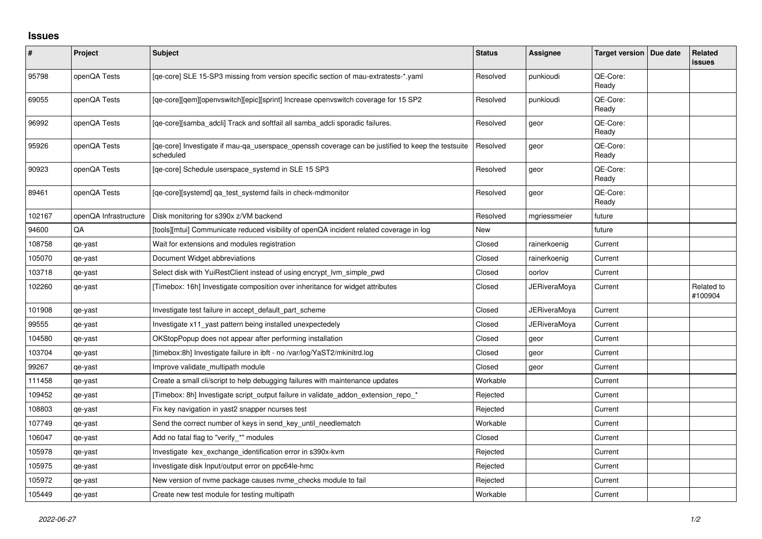## **Issues**

| $\sharp$ | Project               | <b>Subject</b>                                                                                                 | <b>Status</b> | Assignee            | Target version   Due date | Related<br>issues     |
|----------|-----------------------|----------------------------------------------------------------------------------------------------------------|---------------|---------------------|---------------------------|-----------------------|
| 95798    | openQA Tests          | [qe-core] SLE 15-SP3 missing from version specific section of mau-extratests-*.yaml                            | Resolved      | punkioudi           | QE-Core:<br>Ready         |                       |
| 69055    | openQA Tests          | [qe-core][qem][openvswitch][epic][sprint] Increase openvswitch coverage for 15 SP2                             | Resolved      | punkioudi           | QE-Core:<br>Ready         |                       |
| 96992    | openQA Tests          | [qe-core][samba_adcli] Track and softfail all samba_adcli sporadic failures.                                   | Resolved      | geor                | QE-Core:<br>Ready         |                       |
| 95926    | openQA Tests          | [qe-core] Investigate if mau-qa_userspace_openssh coverage can be justified to keep the testsuite<br>scheduled | Resolved      | geor                | QE-Core:<br>Ready         |                       |
| 90923    | openQA Tests          | [qe-core] Schedule userspace_systemd in SLE 15 SP3                                                             | Resolved      | geor                | QE-Core:<br>Ready         |                       |
| 89461    | openQA Tests          | [qe-core][systemd] qa_test_systemd fails in check-mdmonitor                                                    | Resolved      | geor                | QE-Core:<br>Ready         |                       |
| 102167   | openQA Infrastructure | Disk monitoring for s390x z/VM backend                                                                         | Resolved      | mgriessmeier        | future                    |                       |
| 94600    | QA                    | [tools][mtui] Communicate reduced visibility of openQA incident related coverage in log                        | New           |                     | future                    |                       |
| 108758   | qe-yast               | Wait for extensions and modules registration                                                                   | Closed        | rainerkoenig        | Current                   |                       |
| 105070   | qe-yast               | Document Widget abbreviations                                                                                  | Closed        | rainerkoenig        | Current                   |                       |
| 103718   | qe-yast               | Select disk with YuiRestClient instead of using encrypt_lvm_simple_pwd                                         | Closed        | oorlov              | Current                   |                       |
| 102260   | qe-yast               | [Timebox: 16h] Investigate composition over inheritance for widget attributes                                  | Closed        | <b>JERiveraMoya</b> | Current                   | Related to<br>#100904 |
| 101908   | qe-yast               | Investigate test failure in accept default part scheme                                                         | Closed        | <b>JERiveraMoya</b> | Current                   |                       |
| 99555    | qe-yast               | Investigate x11_yast pattern being installed unexpectedely                                                     | Closed        | JERiveraMoya        | Current                   |                       |
| 104580   | qe-yast               | OKStopPopup does not appear after performing installation                                                      | Closed        | geor                | Current                   |                       |
| 103704   | qe-yast               | [timebox:8h] Investigate failure in ibft - no /var/log/YaST2/mkinitrd.log                                      | Closed        | geor                | Current                   |                       |
| 99267    | qe-yast               | Improve validate_multipath module                                                                              | Closed        | geor                | Current                   |                       |
| 111458   | qe-yast               | Create a small cli/script to help debugging failures with maintenance updates                                  | Workable      |                     | Current                   |                       |
| 109452   | qe-yast               | [Timebox: 8h] Investigate script_output failure in validate_addon_extension_repo_*                             | Rejected      |                     | Current                   |                       |
| 108803   | qe-yast               | Fix key navigation in yast2 snapper ncurses test                                                               | Rejected      |                     | Current                   |                       |
| 107749   | qe-yast               | Send the correct number of keys in send_key_until_needlematch                                                  | Workable      |                     | Current                   |                       |
| 106047   | qe-yast               | Add no fatal flag to "verify_*" modules                                                                        | Closed        |                     | Current                   |                       |
| 105978   | qe-yast               | Investigate kex_exchange_identification error in s390x-kvm                                                     | Rejected      |                     | Current                   |                       |
| 105975   | qe-yast               | Investigate disk Input/output error on ppc64le-hmc                                                             | Rejected      |                     | Current                   |                       |
| 105972   | qe-yast               | New version of nvme package causes nvme_checks module to fail                                                  | Rejected      |                     | Current                   |                       |
| 105449   | qe-yast               | Create new test module for testing multipath                                                                   | Workable      |                     | Current                   |                       |